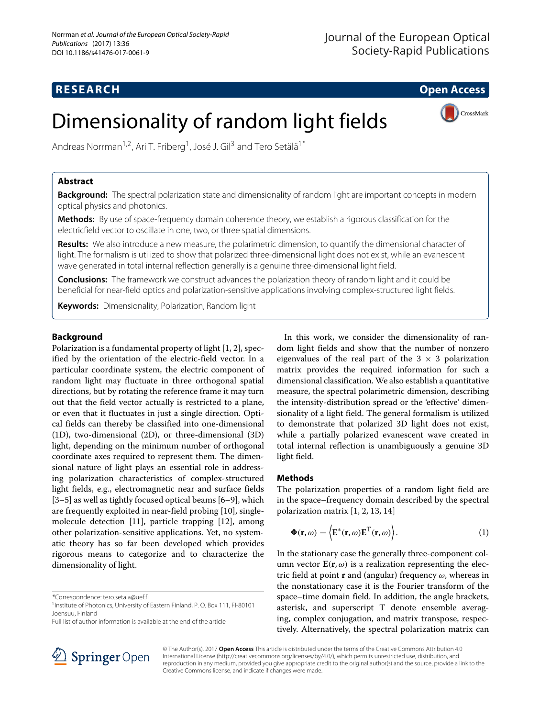## **RESEARCH Open Access**

# Dimensionality of random light fields

CrossMark

Andreas Norrman<sup>1,2</sup>, Ari T. Friberg<sup>1</sup>, José J. Gil<sup>3</sup> and Tero Setälä<sup>1\*</sup>

#### **Abstract**

**Background:** The spectral polarization state and dimensionality of random light are important concepts in modern optical physics and photonics.

**Methods:** By use of space-frequency domain coherence theory, we establish a rigorous classification for the electricfield vector to oscillate in one, two, or three spatial dimensions.

**Results:** We also introduce a new measure, the polarimetric dimension, to quantify the dimensional character of light. The formalism is utilized to show that polarized three-dimensional light does not exist, while an evanescent wave generated in total internal reflection generally is a genuine three-dimensional light field.

**Conclusions:** The framework we construct advances the polarization theory of random light and it could be beneficial for near-field optics and polarization-sensitive applications involving complex-structured light fields.

**Keywords:** Dimensionality, Polarization, Random light

#### **Background**

Polarization is a fundamental property of light [\[1,](#page-4-0) [2\]](#page-4-1), specified by the orientation of the electric-field vector. In a particular coordinate system, the electric component of random light may fluctuate in three orthogonal spatial directions, but by rotating the reference frame it may turn out that the field vector actually is restricted to a plane, or even that it fluctuates in just a single direction. Optical fields can thereby be classified into one-dimensional (1D), two-dimensional (2D), or three-dimensional (3D) light, depending on the minimum number of orthogonal coordinate axes required to represent them. The dimensional nature of light plays an essential role in addressing polarization characteristics of complex-structured light fields, e.g., electromagnetic near and surface fields [\[3](#page-4-2)[–5\]](#page-4-3) as well as tightly focused optical beams [\[6](#page-4-4)[–9\]](#page-4-5), which are frequently exploited in near-field probing [\[10\]](#page-4-6), singlemolecule detection [\[11\]](#page-4-7), particle trapping [\[12\]](#page-4-8), among other polarization-sensitive applications. Yet, no systematic theory has so far been developed which provides rigorous means to categorize and to characterize the dimensionality of light.

\*Correspondence: [tero.setala@uef.fi](mailto: tero.setala@uef.fi)

Full list of author information is available at the end of the article



In this work, we consider the dimensionality of random light fields and show that the number of nonzero eigenvalues of the real part of the  $3 \times 3$  polarization matrix provides the required information for such a dimensional classification. We also establish a quantitative measure, the spectral polarimetric dimension, describing the intensity-distribution spread or the 'effective' dimensionality of a light field. The general formalism is utilized to demonstrate that polarized 3D light does not exist, while a partially polarized evanescent wave created in total internal reflection is unambiguously a genuine 3D light field.

#### **Methods**

The polarization properties of a random light field are in the space–frequency domain described by the spectral polarization matrix [\[1,](#page-4-0) [2,](#page-4-1) [13,](#page-4-9) [14\]](#page-4-10)

<span id="page-0-0"></span>
$$
\Phi(\mathbf{r}, \omega) = \langle \mathbf{E}^*(\mathbf{r}, \omega) \mathbf{E}^{\mathrm{T}}(\mathbf{r}, \omega) \rangle.
$$
 (1)

In the stationary case the generally three-component column vector  $\mathbf{E}(\mathbf{r}, \omega)$  is a realization representing the electric field at point **r** and (angular) frequency ω, whereas in the nonstationary case it is the Fourier transform of the space–time domain field. In addition, the angle brackets, asterisk, and superscript T denote ensemble averaging, complex conjugation, and matrix transpose, respectively. Alternatively, the spectral polarization matrix can

© The Author(s). 2017 **Open Access** This article is distributed under the terms of the Creative Commons Attribution 4.0 International License [\(http://creativecommons.org/licenses/by/4.0/\)](http://creativecommons.org/licenses/by/4.0/), which permits unrestricted use, distribution, and reproduction in any medium, provided you give appropriate credit to the original author(s) and the source, provide a link to the Creative Commons license, and indicate if changes were made.

<sup>&</sup>lt;sup>1</sup> Institute of Photonics, University of Eastern Finland, P.O. Box 111, FI-80101 Joensuu, Finland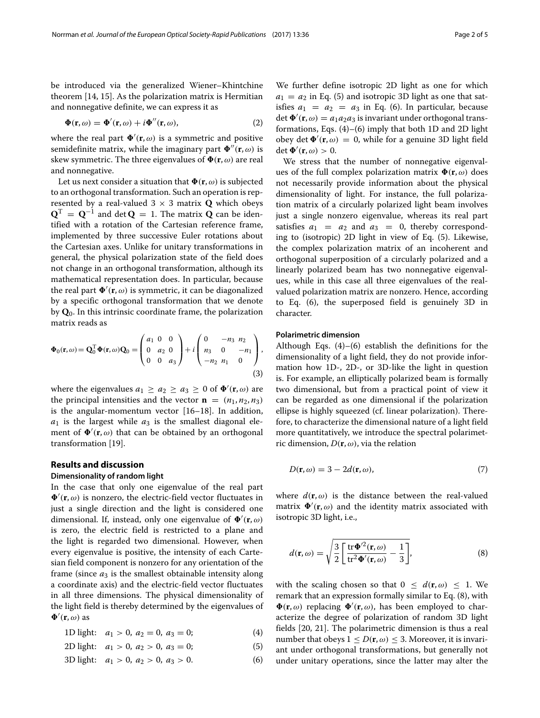be introduced via the generalized Wiener–Khintchine theorem [\[14,](#page-4-10) [15\]](#page-4-11). As the polarization matrix is Hermitian and nonnegative definite, we can express it as

$$
\Phi(\mathbf{r}, \omega) = \Phi'(\mathbf{r}, \omega) + i\Phi''(\mathbf{r}, \omega), \tag{2}
$$

where the real part  $\mathbf{\Phi}'(\mathbf{r}, \omega)$  is a symmetric and positive semidefinite matrix, while the imaginary part  $\mathbf{\Phi}^{\prime\prime}(\mathbf{r}, \omega)$  is skew symmetric. The three eigenvalues of  $\mathbf{\Phi}(\mathbf{r},\omega)$  are real and nonnegative.

Let us next consider a situation that  $\Phi(\mathbf{r}, \omega)$  is subjected to an orthogonal transformation. Such an operation is represented by a real-valued  $3 \times 3$  matrix **Q** which obeys  $\mathbf{Q}^{\mathrm{T}} = \mathbf{Q}^{-1}$  and det  $\mathbf{Q} = 1$ . The matrix  $\mathbf{Q}$  can be identified with a rotation of the Cartesian reference frame, implemented by three successive Euler rotations about the Cartesian axes. Unlike for unitary transformations in general, the physical polarization state of the field does not change in an orthogonal transformation, although its mathematical representation does. In particular, because the real part  $\mathbf{\Phi}'(\mathbf{r}, \omega)$  is symmetric, it can be diagonalized by a specific orthogonal transformation that we denote by **Q**0. In this intrinsic coordinate frame, the polarization matrix reads as

$$
\Phi_0(\mathbf{r}, \omega) = \mathbf{Q}_0^{\mathrm{T}} \Phi(\mathbf{r}, \omega) \mathbf{Q}_0 = \begin{pmatrix} a_1 & 0 & 0 \\ 0 & a_2 & 0 \\ 0 & 0 & a_3 \end{pmatrix} + i \begin{pmatrix} 0 & -n_3 & n_2 \\ n_3 & 0 & -n_1 \\ -n_2 & n_1 & 0 \end{pmatrix},
$$
\n(3)

where the eigenvalues  $a_1 \ge a_2 \ge a_3 \ge 0$  of  $\Phi'(\mathbf{r}, \omega)$  are the principal intensities and the vector  $\mathbf{n} = (n_1, n_2, n_3)$ is the angular-momentum vector [\[16–](#page-4-12)[18\]](#page-4-13). In addition,  $a_1$  is the largest while  $a_3$  is the smallest diagonal element of  $\Phi'(\mathbf{r}, \omega)$  that can be obtained by an orthogonal transformation [\[19\]](#page-4-14).

#### **Results and discussion**

#### **Dimensionality of random light**

In the case that only one eigenvalue of the real part  $\Phi'(\mathbf{r},\omega)$  is nonzero, the electric-field vector fluctuates in just a single direction and the light is considered one dimensional. If, instead, only one eigenvalue of  $\Phi'(\mathbf{r}, \omega)$ is zero, the electric field is restricted to a plane and the light is regarded two dimensional. However, when every eigenvalue is positive, the intensity of each Cartesian field component is nonzero for any orientation of the frame (since  $a_3$  is the smallest obtainable intensity along a coordinate axis) and the electric-field vector fluctuates in all three dimensions. The physical dimensionality of the light field is thereby determined by the eigenvalues of  $\mathbf{\Phi}'(\mathbf{r},\omega)$  as

1D light: 
$$
a_1 > 0
$$
,  $a_2 = 0$ ,  $a_3 = 0$ ; (4)

$$
2D light: \t a_1 > 0, a_2 > 0, a_3 = 0; \t (5)
$$

3D light: 
$$
a_1 > 0
$$
,  $a_2 > 0$ ,  $a_3 > 0$ . (6)

We further define isotropic 2D light as one for which  $a_1 = a_2$  in Eq. [\(5\)](#page-1-0) and isotropic 3D light as one that satisfies  $a_1 = a_2 = a_3$  in Eq. [\(6\)](#page-1-1). In particular, because det  $\Phi'(\mathbf{r}, \omega) = a_1 a_2 a_3$  is invariant under orthogonal transformations, Eqs. [\(4\)](#page-1-2)–[\(6\)](#page-1-1) imply that both 1D and 2D light obey det  $\Phi'(\mathbf{r}, \omega) = 0$ , while for a genuine 3D light field  $\det \mathbf{\Phi}'(\mathbf{r}, \omega) > 0.$ 

We stress that the number of nonnegative eigenvalues of the full complex polarization matrix  $\mathbf{\Phi}(\mathbf{r}, \omega)$  does not necessarily provide information about the physical dimensionality of light. For instance, the full polarization matrix of a circularly polarized light beam involves just a single nonzero eigenvalue, whereas its real part satisfies  $a_1 = a_2$  and  $a_3 = 0$ , thereby corresponding to (isotropic) 2D light in view of Eq. [\(5\)](#page-1-0). Likewise, the complex polarization matrix of an incoherent and orthogonal superposition of a circularly polarized and a linearly polarized beam has two nonnegative eigenvalues, while in this case all three eigenvalues of the realvalued polarization matrix are nonzero. Hence, according to Eq. [\(6\)](#page-1-1), the superposed field is genuinely 3D in character.

#### **Polarimetric dimension**

Although Eqs. [\(4\)](#page-1-2)–[\(6\)](#page-1-1) establish the definitions for the dimensionality of a light field, they do not provide information how 1D-, 2D-, or 3D-like the light in question is. For example, an elliptically polarized beam is formally two dimensional, but from a practical point of view it can be regarded as one dimensional if the polarization ellipse is highly squeezed (cf. linear polarization). Therefore, to characterize the dimensional nature of a light field more quantitatively, we introduce the spectral polarimetric dimension,  $D(\mathbf{r}, \omega)$ , via the relation

<span id="page-1-4"></span>
$$
D(\mathbf{r}, \omega) = 3 - 2d(\mathbf{r}, \omega),\tag{7}
$$

where  $d(\mathbf{r}, \omega)$  is the distance between the real-valued matrix  $\mathbf{\Phi}'(\mathbf{r}, \omega)$  and the identity matrix associated with isotropic 3D light, i.e.,

<span id="page-1-3"></span>
$$
d(\mathbf{r}, \omega) = \sqrt{\frac{3}{2} \left[ \frac{\text{tr} \Phi'^2(\mathbf{r}, \omega)}{\text{tr}^2 \Phi'(\mathbf{r}, \omega)} - \frac{1}{3} \right]},
$$
(8)

<span id="page-1-2"></span><span id="page-1-1"></span><span id="page-1-0"></span>with the scaling chosen so that  $0 \leq d(\mathbf{r}, \omega) \leq 1$ . We remark that an expression formally similar to Eq. [\(8\)](#page-1-3), with  $\Phi(\mathbf{r}, \omega)$  replacing  $\Phi'(\mathbf{r}, \omega)$ , has been employed to characterize the degree of polarization of random 3D light fields [\[20,](#page-4-15) [21\]](#page-4-16). The polarimetric dimension is thus a real number that obeys  $1 < D(\mathbf{r}, \omega) < 3$ . Moreover, it is invariant under orthogonal transformations, but generally not under unitary operations, since the latter may alter the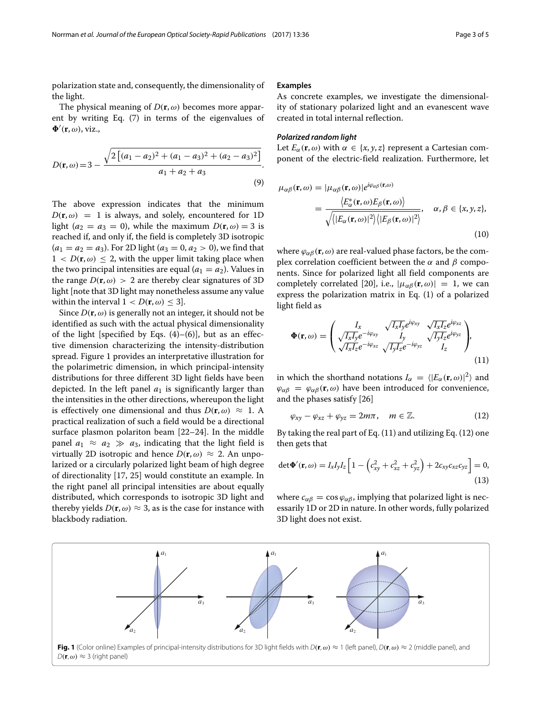polarization state and, consequently, the dimensionality of the light.

The physical meaning of  $D(r, \omega)$  becomes more apparent by writing Eq. [\(7\)](#page-1-4) in terms of the eigenvalues of  $\Phi'(\mathbf{r}, \omega)$ , viz.,

$$
D(\mathbf{r}, \omega) = 3 - \frac{\sqrt{2\left[ (a_1 - a_2)^2 + (a_1 - a_3)^2 + (a_2 - a_3)^2 \right]}}{a_1 + a_2 + a_3}.
$$
\n(9)

The above expression indicates that the minimum  $D(\mathbf{r}, \omega) = 1$  is always, and solely, encountered for 1D light ( $a_2 = a_3 = 0$ ), while the maximum  $D(r, \omega) = 3$  is reached if, and only if, the field is completely 3D isotropic  $(a_1 = a_2 = a_3)$ . For 2D light  $(a_3 = 0, a_2 > 0)$ , we find that  $1 < D(\mathbf{r}, \omega) \leq 2$ , with the upper limit taking place when the two principal intensities are equal  $(a_1 = a_2)$ . Values in the range  $D(\mathbf{r}, \omega) > 2$  are thereby clear signatures of 3D light [note that 3D light may nonetheless assume any value within the interval  $1 < D(\mathbf{r}, \omega) \leq 3$ .

Since  $D(\mathbf{r}, \omega)$  is generally not an integer, it should not be identified as such with the actual physical dimensionality of the light [specified by Eqs.  $(4)–(6)$  $(4)–(6)$  $(4)–(6)$ ], but as an effective dimension characterizing the intensity-distribution spread. Figure [1](#page-2-0) provides an interpretative illustration for the polarimetric dimension, in which principal-intensity distributions for three different 3D light fields have been depicted. In the left panel  $a_1$  is significantly larger than the intensities in the other directions, whereupon the light is effectively one dimensional and thus  $D(\mathbf{r}, \omega) \approx 1$ . A practical realization of such a field would be a directional surface plasmon polariton beam [\[22–](#page-4-17)[24\]](#page-4-18). In the middle panel  $a_1 \approx a_2 \gg a_3$ , indicating that the light field is virtually 2D isotropic and hence  $D(\mathbf{r}, \omega) \approx 2$ . An unpolarized or a circularly polarized light beam of high degree of directionality [\[17,](#page-4-19) [25\]](#page-4-20) would constitute an example. In the right panel all principal intensities are about equally distributed, which corresponds to isotropic 3D light and thereby yields  $D(\mathbf{r}, \omega) \approx 3$ , as is the case for instance with blackbody radiation.

#### **Examples**

As concrete examples, we investigate the dimensionality of stationary polarized light and an evanescent wave created in total internal reflection.

#### *Polarized random light*

Let  $E_{\alpha}(\mathbf{r}, \omega)$  with  $\alpha \in \{x, y, z\}$  represent a Cartesian component of the electric-field realization. Furthermore, let

$$
\mu_{\alpha\beta}(\mathbf{r}, \omega) = |\mu_{\alpha\beta}(\mathbf{r}, \omega)|e^{i\varphi_{\alpha\beta}(\mathbf{r}, \omega)}
$$
\n
$$
= \frac{\langle E_{\alpha}^*(\mathbf{r}, \omega)E_{\beta}(\mathbf{r}, \omega) \rangle}{\sqrt{\langle |E_{\alpha}(\mathbf{r}, \omega)|^2 \rangle \langle |E_{\beta}(\mathbf{r}, \omega)|^2 \rangle}}, \quad \alpha, \beta \in \{x, y, z\},
$$
\n(10)

where  $\varphi_{\alpha\beta}(\mathbf{r}, \omega)$  are real-valued phase factors, be the complex correlation coefficient between the α and  $β$  components. Since for polarized light all field components are completely correlated [\[20\]](#page-4-15), i.e.,  $|\mu_{\alpha\beta}(\mathbf{r}, \omega)| = 1$ , we can express the polarization matrix in Eq. [\(1\)](#page-0-0) of a polarized light field as

<span id="page-2-1"></span>
$$
\Phi(\mathbf{r}, \omega) = \begin{pmatrix} I_x & \sqrt{I_x I_y} e^{i\varphi_{xy}} & \sqrt{I_x I_z} e^{i\varphi_{xz}} \\ \sqrt{I_x I_y} e^{-i\varphi_{xz}} & I_y & \sqrt{I_y I_z} e^{i\varphi_{yz}} \\ \sqrt{I_x I_z} e^{-i\varphi_{xz}} & \sqrt{I_y I_z} e^{-i\varphi_{yz}} & I_z \end{pmatrix},
$$
\n(11)

in which the shorthand notations  $I_{\alpha} = \langle |E_{\alpha}(\mathbf{r}, \omega)|^2 \rangle$  and  $\varphi_{\alpha\beta} = \varphi_{\alpha\beta}(\mathbf{r}, \omega)$  have been introduced for convenience, and the phases satisfy [\[26\]](#page-4-21)

<span id="page-2-2"></span>
$$
\varphi_{xy} - \varphi_{xz} + \varphi_{yz} = 2m\pi, \quad m \in \mathbb{Z}.
$$
 (12)

By taking the real part of Eq. [\(11\)](#page-2-1) and utilizing Eq. [\(12\)](#page-2-2) one then gets that

$$
\det \Phi'(\mathbf{r}, \omega) = I_x I_y I_z \left[ 1 - \left( c_{xy}^2 + c_{xz}^2 + c_{yz}^2 \right) + 2c_{xy} c_{xz} c_{yz} \right] = 0,
$$
\n(13)

where  $c_{\alpha\beta} = \cos \varphi_{\alpha\beta}$ , implying that polarized light is necessarily 1D or 2D in nature. In other words, fully polarized 3D light does not exist.

<span id="page-2-0"></span>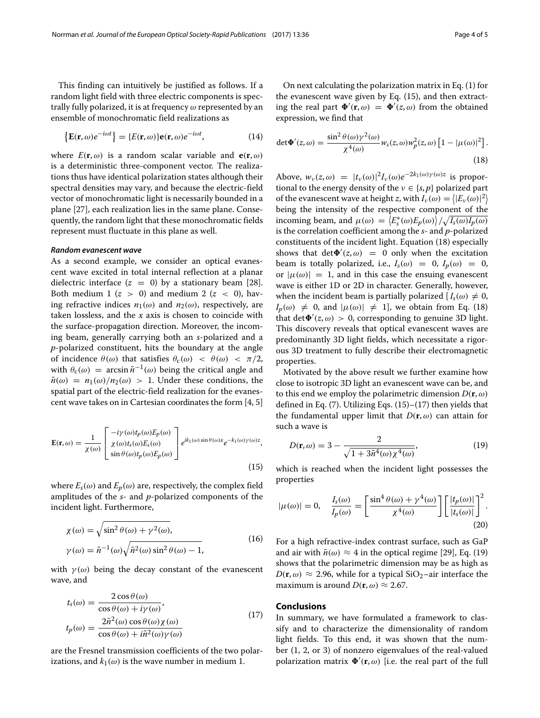This finding can intuitively be justified as follows. If a random light field with three electric components is spectrally fully polarized, it is at frequency  $\omega$  represented by an ensemble of monochromatic field realizations as

$$
\left\{ \mathbf{E}(\mathbf{r}, \omega)e^{-i\omega t} \right\} = \left\{ E(\mathbf{r}, \omega) \right\} \mathbf{e}(\mathbf{r}, \omega)e^{-i\omega t}, \tag{14}
$$

where  $E(\mathbf{r}, \omega)$  is a random scalar variable and  $\mathbf{e}(\mathbf{r}, \omega)$ is a deterministic three-component vector. The realizations thus have identical polarization states although their spectral densities may vary, and because the electric-field vector of monochromatic light is necessarily bounded in a plane [\[27\]](#page-4-22), each realization lies in the same plane. Consequently, the random light that these monochromatic fields represent must fluctuate in this plane as well.

#### *Random evanescent wave*

As a second example, we consider an optical evanescent wave excited in total internal reflection at a planar dielectric interface  $(z = 0)$  by a stationary beam [\[28\]](#page-4-23). Both medium 1 ( $z > 0$ ) and medium 2 ( $z < 0$ ), having refractive indices  $n_1(\omega)$  and  $n_2(\omega)$ , respectively, are taken lossless, and the *x* axis is chosen to coincide with the surface-propagation direction. Moreover, the incoming beam, generally carrying both an *s*-polarized and a *p*-polarized constituent, hits the boundary at the angle of incidence  $\theta(\omega)$  that satisfies  $\theta_c(\omega) < \theta(\omega) < \pi/2$ , with  $\theta_c(\omega) = \arcsin \tilde{n}^{-1}(\omega)$  being the critical angle and  $\tilde{n}(\omega) = n_1(\omega)/n_2(\omega) > 1$ . Under these conditions, the spatial part of the electric-field realization for the evanescent wave takes on in Cartesian coordinates the form [\[4,](#page-4-24) [5\]](#page-4-3)

<span id="page-3-0"></span>
$$
\mathbf{E}(\mathbf{r},\omega) = \frac{1}{\chi(\omega)} \begin{bmatrix} -i\gamma(\omega)t_p(\omega)E_p(\omega) \\ \chi(\omega)t_s(\omega)E_s(\omega) \\ \sin\theta(\omega)t_p(\omega)E_p(\omega) \end{bmatrix} e^{ik_1(\omega)\sin\theta(\omega)x} e^{-k_1(\omega)\gamma(\omega)z},
$$
\n(15)

where  $E_s(\omega)$  and  $E_p(\omega)$  are, respectively, the complex field amplitudes of the *s*- and *p*-polarized components of the incident light. Furthermore,

$$
\chi(\omega) = \sqrt{\sin^2 \theta(\omega) + \gamma^2(\omega)},
$$
  
\n
$$
\gamma(\omega) = \tilde{n}^{-1}(\omega) \sqrt{\tilde{n}^2(\omega) \sin^2 \theta(\omega) - 1},
$$
\n(16)

with  $\gamma(\omega)$  being the decay constant of the evanescent wave, and

<span id="page-3-2"></span>
$$
t_s(\omega) = \frac{2 \cos \theta(\omega)}{\cos \theta(\omega) + i\gamma(\omega)},
$$
  
\n
$$
t_p(\omega) = \frac{2\tilde{n}^2(\omega) \cos \theta(\omega) \chi(\omega)}{\cos \theta(\omega) + i\tilde{n}^2(\omega)\gamma(\omega)}
$$
\n(17)

are the Fresnel transmission coefficients of the two polarizations, and  $k_1(\omega)$  is the wave number in medium 1.

On next calculating the polarization matrix in Eq. [\(1\)](#page-0-0) for the evanescent wave given by Eq. [\(15\)](#page-3-0), and then extracting the real part  $\mathbf{\Phi}'(\mathbf{r}, \omega) = \mathbf{\Phi}'(z, \omega)$  from the obtained expression, we find that

<span id="page-3-1"></span>
$$
\det \Phi'(z,\omega) = \frac{\sin^2 \theta(\omega) \gamma^2(\omega)}{\chi^4(\omega)} w_s(z,\omega) w_p^2(z,\omega) \left[1 - |\mu(\omega)|^2\right].
$$
\n(18)

Above,  $w_v(z, \omega) = |t_v(\omega)|^2 I_v(\omega) e^{-2k_1(\omega)\gamma(\omega)z}$  is proportional to the energy density of the  $v \in \{s, p\}$  polarized part of the evanescent wave at height *z*, with  $I_\nu(\omega) = |E_\nu(\omega)|^2$ being the intensity of the respective component of the incoming beam, and  $\mu(\omega) = \langle E_s^*(\omega) E_p(\omega) \rangle / \sqrt{I_s(\omega) I_p(\omega)}$ is the correlation coefficient among the *s*- and *p*-polarized constituents of the incident light. Equation [\(18\)](#page-3-1) especially shows that  $det \Phi'(z, \omega) = 0$  only when the excitation beam is totally polarized, i.e.,  $I_s(\omega) = 0$ ,  $I_p(\omega) = 0$ , or  $|\mu(\omega)| = 1$ , and in this case the ensuing evanescent wave is either 1D or 2D in character. Generally, however, when the incident beam is partially polarized  $[I_s(\omega) \neq 0]$ ,  $I_p(\omega) \neq 0$ , and  $|\mu(\omega)| \neq 1$ , we obtain from Eq. [\(18\)](#page-3-1) that det $\Phi'(z, \omega) > 0$ , corresponding to genuine 3D light. This discovery reveals that optical evanescent waves are predominantly 3D light fields, which necessitate a rigorous 3D treatment to fully describe their electromagnetic properties.

Motivated by the above result we further examine how close to isotropic 3D light an evanescent wave can be, and to this end we employ the polarimetric dimension  $D(\mathbf{r}, \omega)$ defined in Eq. [\(7\)](#page-1-4). Utilizing Eqs. [\(15\)](#page-3-0)–[\(17\)](#page-3-2) then yields that the fundamental upper limit that  $D(\mathbf{r}, \omega)$  can attain for such a wave is

<span id="page-3-3"></span>
$$
D(\mathbf{r}, \omega) = 3 - \frac{2}{\sqrt{1 + 3\tilde{n}^4(\omega)\chi^4(\omega)}},\tag{19}
$$

which is reached when the incident light possesses the properties

$$
|\mu(\omega)| = 0, \quad \frac{I_s(\omega)}{I_p(\omega)} = \left[\frac{\sin^4 \theta(\omega) + \gamma^4(\omega)}{\chi^4(\omega)}\right] \left[\frac{|t_p(\omega)|}{|t_s(\omega)|}\right]^2.
$$
\n(20)

For a high refractive-index contrast surface, such as GaP and air with  $\tilde{n}(\omega) \approx 4$  in the optical regime [\[29\]](#page-4-25), Eq. [\(19\)](#page-3-3) shows that the polarimetric dimension may be as high as  $D(\mathbf{r}, \omega) \approx 2.96$ , while for a typical SiO<sub>2</sub>–air interface the maximum is around  $D(\mathbf{r}, \omega) \approx 2.67$ .

#### **Conclusions**

In summary, we have formulated a framework to classify and to characterize the dimensionality of random light fields. To this end, it was shown that the number (1, 2, or 3) of nonzero eigenvalues of the real-valued polarization matrix  $\boldsymbol{\Phi}'({\bf r},\omega)$  [i.e. the real part of the full